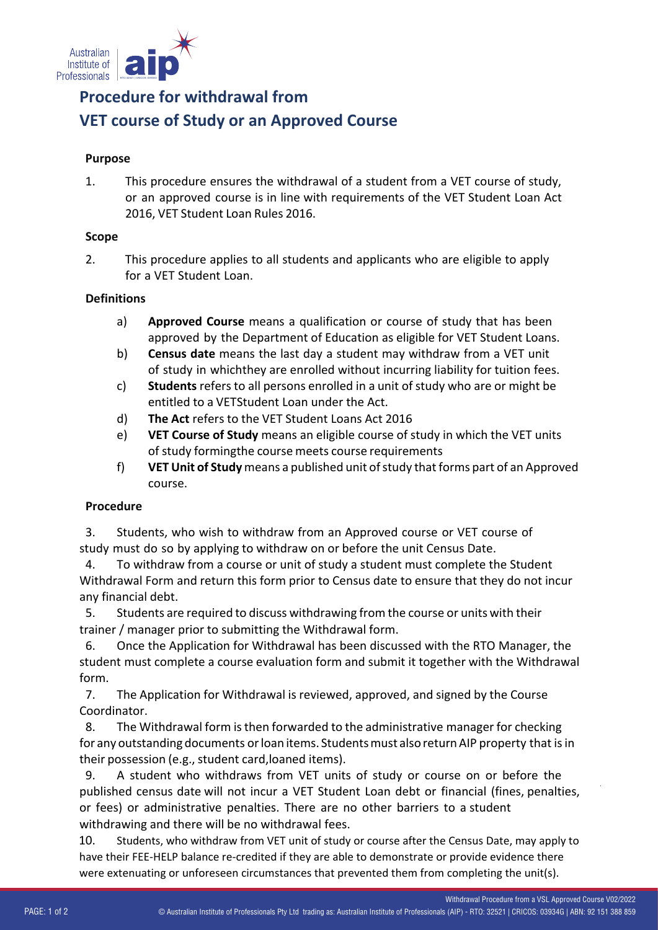

# **Procedure for withdrawal from VET course of Study or an Approved Course**

### **Purpose**

1. This procedure ensures the withdrawal of a student from a VET course of study, or an approved course is in line with requirements of the VET Student Loan Act 2016, VET Student Loan Rules 2016.

### **Scope**

2. This procedure applies to all students and applicants who are eligible to apply for a VET Student Loan.

### **Definitions**

- a) **Approved Course** means a qualification or course of study that has been approved by the Department of Education as eligible for VET Student Loans.
- b) **Census date** means the last day a student may withdraw from a VET unit of study in whichthey are enrolled without incurring liability for tuition fees.
- c) **Students** refers to all persons enrolled in a unit of study who are or might be entitled to a VETStudent Loan under the Act.
- d) **The Act** refers to the VET Student Loans Act 2016
- e) **VET Course of Study** means an eligible course of study in which the VET units of study formingthe course meets course requirements
- f) **VET Unit of Study** means a published unit ofstudy thatforms part of an Approved course.

### **Procedure**

3. Students, who wish to withdraw from an Approved course or VET course of study must do so by applying to withdraw on or before the unit Census Date.

4. To withdraw from a course or unit of study a student must complete the Student Withdrawal Form and return this form prior to Census date to ensure that they do not incur any financial debt.

5. Students are required to discuss withdrawing from the course or units with their trainer / manager prior to submitting the Withdrawal form.

6. Once the Application for Withdrawal has been discussed with the RTO Manager, the student must complete a course evaluation form and submit it together with the Withdrawal form.

7. The Application for Withdrawal is reviewed, approved, and signed by the Course Coordinator.

8. The Withdrawal form is then forwarded to the administrative manager for checking for any outstanding documents or loan items. Students must also return AIP property that is in their possession (e.g., student card, loaned items).

9. A student who withdraws from VET units of study or course on or before the published census date will not incur a VET Student Loan debt or financial (fines, penalties, or fees) or administrative penalties. There are no other barriers to a student withdrawing and there will be no withdrawal fees.

10. Students, who withdraw from VET unit of study or course after the Census Date, may apply to have their FEE-HELP balance re-credited if they are able to demonstrate or provide evidence there were extenuating or unforeseen circumstances that prevented them from completing the unit(s).